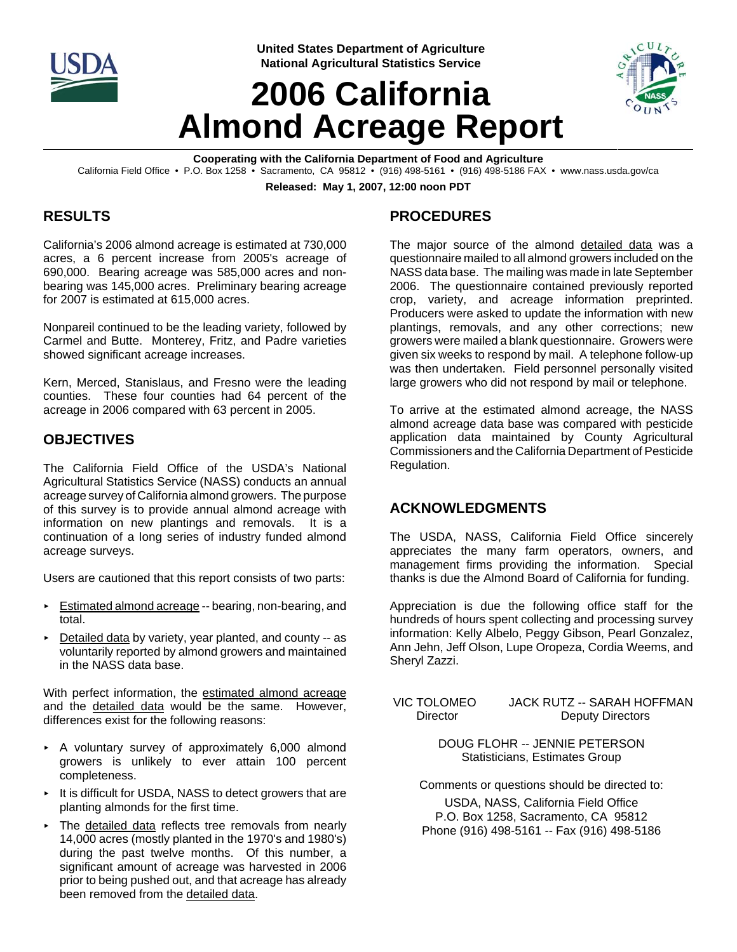

**United States Department of Agriculture National Agricultural Statistics Service**

# **2006 California Almond Acreage Report**



**Cooperating with the California Department of Food and Agriculture** California Field Office • P.O. Box 1258 • Sacramento, CA 95812 • (916) 498-5161 • (916) 498-5186 FAX • www.nass.usda.gov/ca

**Released: May 1, 2007, 12:00 noon PDT**

## **RESULTS**

California's 2006 almond acreage is estimated at 730,000 acres, a 6 percent increase from 2005's acreage of 690,000. Bearing acreage was 585,000 acres and nonbearing was 145,000 acres. Preliminary bearing acreage for 2007 is estimated at 615,000 acres.

Nonpareil continued to be the leading variety, followed by Carmel and Butte. Monterey, Fritz, and Padre varieties showed significant acreage increases.

Kern, Merced, Stanislaus, and Fresno were the leading counties. These four counties had 64 percent of the acreage in 2006 compared with 63 percent in 2005.

#### **OBJECTIVES**

The California Field Office of the USDA's National Agricultural Statistics Service (NASS) conducts an annual acreage survey of California almond growers. The purpose of this survey is to provide annual almond acreage with information on new plantings and removals. It is a continuation of a long series of industry funded almond acreage surveys.

Users are cautioned that this report consists of two parts:

- Estimated almond acreage -- bearing, non-bearing, and total.
- $\triangleright$  Detailed data by variety, year planted, and county  $-$  as voluntarily reported by almond growers and maintained in the NASS data base.

With perfect information, the estimated almond acreage and the detailed data would be the same. However, differences exist for the following reasons:

- < A voluntary survey of approximately 6,000 almond growers is unlikely to ever attain 100 percent completeness.
- $\cdot$  It is difficult for USDA, NASS to detect growers that are planting almonds for the first time.
- < The detailed data reflects tree removals from nearly 14,000 acres (mostly planted in the 1970's and 1980's) during the past twelve months. Of this number, a significant amount of acreage was harvested in 2006 prior to being pushed out, and that acreage has already been removed from the detailed data.

# **PROCEDURES**

The major source of the almond detailed data was a questionnaire mailed to all almond growers included on the NASS data base. The mailing was made in late September 2006. The questionnaire contained previously reported crop, variety, and acreage information preprinted. Producers were asked to update the information with new plantings, removals, and any other corrections; new growers were mailed a blank questionnaire. Growers were given six weeks to respond by mail. A telephone follow-up was then undertaken. Field personnel personally visited large growers who did not respond by mail or telephone.

To arrive at the estimated almond acreage, the NASS almond acreage data base was compared with pesticide application data maintained by County Agricultural Commissioners and the California Department of Pesticide Regulation.

## **ACKNOWLEDGMENTS**

The USDA, NASS, California Field Office sincerely appreciates the many farm operators, owners, and management firms providing the information. Special thanks is due the Almond Board of California for funding.

Appreciation is due the following office staff for the hundreds of hours spent collecting and processing survey information: Kelly Albelo, Peggy Gibson, Pearl Gonzalez, Ann Jehn, Jeff Olson, Lupe Oropeza, Cordia Weems, and Sheryl Zazzi.

 VIC TOLOMEO JACK RUTZ -- SARAH HOFFMAN Director Deputy Directors

> DOUG FLOHR -- JENNIE PETERSON Statisticians, Estimates Group

Comments or questions should be directed to:

USDA, NASS, California Field Office P.O. Box 1258, Sacramento, CA 95812 Phone (916) 498-5161 -- Fax (916) 498-5186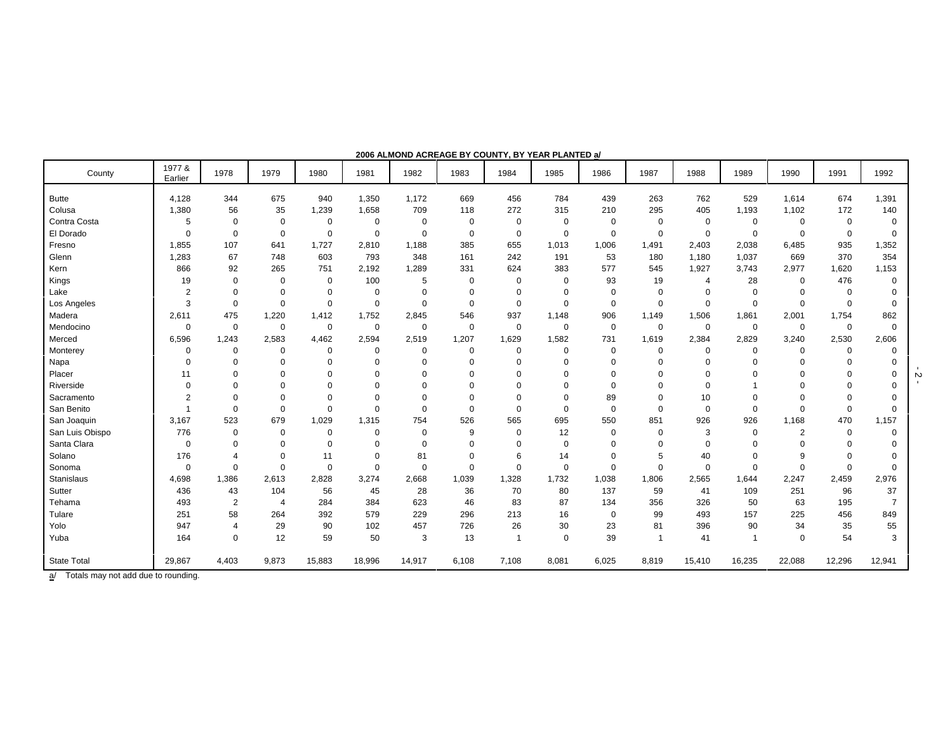| County             | 1977 &<br>Earlier | 1978           | 1979           | 1980        | 1981        | 1982        | 1983     | 1984        | 1985        | 1986        | 1987           | 1988        | 1989        | 1990        | 1991        | 1992     |
|--------------------|-------------------|----------------|----------------|-------------|-------------|-------------|----------|-------------|-------------|-------------|----------------|-------------|-------------|-------------|-------------|----------|
| <b>Butte</b>       | 4,128             | 344            | 675            | 940         | 1,350       | 1,172       | 669      | 456         | 784         | 439         | 263            | 762         | 529         | 1,614       | 674         | 1,391    |
| Colusa             | 1,380             | 56             | 35             | 1,239       | 1,658       | 709         | 118      | 272         | 315         | 210         | 295            | 405         | 1,193       | 1,102       | 172         | 140      |
| Contra Costa       | 5                 | $\mathbf 0$    | $\mathbf 0$    | $\mathbf 0$ | $\mathbf 0$ | $\mathbf 0$ | 0        | $\Omega$    | $\mathbf 0$ | $\Omega$    | $\Omega$       | $\Omega$    | $\Omega$    | $\Omega$    | $\Omega$    | $\Omega$ |
| El Dorado          | 0                 | $\Omega$       | $\mathbf 0$    | $\mathbf 0$ | $\Omega$    | $\Omega$    | $\Omega$ | $\mathbf 0$ | $\mathbf 0$ | $\mathbf 0$ | $\Omega$       | 0           | $\mathbf 0$ | $\mathbf 0$ | $\Omega$    | $\Omega$ |
| Fresno             | 1.855             | 107            | 641            | 1.727       | 2.810       | 1,188       | 385      | 655         | 1,013       | 1,006       | 1,491          | 2,403       | 2,038       | 6,485       | 935         | 1,352    |
| Glenn              | 1,283             | 67             | 748            | 603         | 793         | 348         | 161      | 242         | 191         | 53          | 180            | 1,180       | 1,037       | 669         | 370         | 354      |
| Kern               | 866               | 92             | 265            | 751         | 2,192       | 1,289       | 331      | 624         | 383         | 577         | 545            | 1,927       | 3,743       | 2,977       | 1,620       | 1,153    |
| Kings              | 19                | $\mathbf 0$    | $\mathbf 0$    | $\mathbf 0$ | 100         | 5           | 0        | $\mathbf 0$ | $\mathbf 0$ | 93          | 19             | 4           | 28          | 0           | 476         | $\Omega$ |
| Lake               | $\overline{c}$    | $\mathbf 0$    | $\mathbf 0$    | $\mathbf 0$ | $\mathbf 0$ | $\mathbf 0$ | $\Omega$ | $\Omega$    | $\mathbf 0$ | $\Omega$    | $\mathbf 0$    | $\Omega$    | $\mathbf 0$ | $\Omega$    | $\mathbf 0$ |          |
| Los Angeles        | 3                 | $\mathbf 0$    | $\overline{0}$ | $\mathbf 0$ | $\mathbf 0$ | $\Omega$    | $\Omega$ | $\mathbf 0$ | $\Omega$    | $\mathbf 0$ | $\Omega$       | $\Omega$    | $\Omega$    | $\Omega$    | $\Omega$    | $\Omega$ |
| Madera             | 2,611             | 475            | 1,220          | 1,412       | 1,752       | 2,845       | 546      | 937         | 1,148       | 906         | 1,149          | 1,506       | 1,861       | 2,001       | 1,754       | 862      |
| Mendocino          | $\mathbf 0$       | $\mathbf 0$    | $\mathbf 0$    | 0           | $\Omega$    | $\mathbf 0$ | 0        | $\Omega$    | $\mathbf 0$ | $\mathbf 0$ | $\mathbf 0$    | 0           | 0           | $\mathbf 0$ | $\mathbf 0$ | $\Omega$ |
| Merced             | 6,596             | 1,243          | 2,583          | 4,462       | 2,594       | 2,519       | 1,207    | 1,629       | 1,582       | 731         | 1,619          | 2,384       | 2,829       | 3,240       | 2,530       | 2,606    |
| Monterey           | 0                 | $\mathbf 0$    | $\overline{0}$ | 0           | $\mathbf 0$ | $\mathbf 0$ | 0        | $\mathbf 0$ | $\mathbf 0$ | $^{\circ}$  | $\mathbf 0$    | 0           | $\Omega$    | 0           | 0           | $\Omega$ |
| Napa               | $\Omega$          | $\Omega$       | $\overline{0}$ | $\Omega$    | $\Omega$    | $\Omega$    | 0        | $\Omega$    | $\Omega$    | $\Omega$    | $\Omega$       | $\Omega$    | $\Omega$    | $\Omega$    | $\Omega$    |          |
| Placer             | 11                | $\Omega$       | $\overline{0}$ | $\Omega$    | $\Omega$    | $\Omega$    | $\Omega$ | $\Omega$    | $\Omega$    | $\Omega$    | $\Omega$       |             | Ū           | $\Omega$    | $\Omega$    |          |
| Riverside          | 0                 | $\Omega$       | $\overline{0}$ | $\Omega$    | $\Omega$    | $\Omega$    | $\Omega$ | $\Omega$    | $\Omega$    | $\Omega$    | $\Omega$       |             |             | $\Omega$    | $\Omega$    |          |
| Sacramento         | $\overline{2}$    | $\mathbf 0$    | $\overline{0}$ | 0           | $\Omega$    | $\mathbf 0$ | 0        | $\Omega$    | $\mathbf 0$ | 89          | $\Omega$       | 10          | $\Omega$    | $\Omega$    | $\Omega$    |          |
| San Benito         | 1                 | $\Omega$       | $\mathbf 0$    | $\mathbf 0$ | $\Omega$    | $\mathbf 0$ | 0        | $\mathbf 0$ | $\mathbf 0$ | $\mathbf 0$ | $\Omega$       | $\mathbf 0$ | $\Omega$    | $\Omega$    | $\Omega$    | $\Omega$ |
| San Joaquin        | 3,167             | 523            | 679            | 1,029       | 1,315       | 754         | 526      | 565         | 695         | 550         | 851            | 926         | 926         | 1.168       | 470         | 1,157    |
| San Luis Obispo    | 776               | $\mathbf 0$    | $\mathbf 0$    | 0           | $\Omega$    | $\mathbf 0$ | 9        | $\Omega$    | 12          | $\Omega$    | $\Omega$       | 3           | $\Omega$    | 2           | $\mathbf 0$ | O        |
| Santa Clara        | $\mathbf 0$       | $\Omega$       | $\mathbf 0$    | $\mathbf 0$ | $\Omega$    | $\Omega$    | $\Omega$ | $\Omega$    | $\mathbf 0$ | $\Omega$    | $\Omega$       | $\Omega$    | $\Omega$    | 0           | $\Omega$    |          |
| Solano             | 176               | $\overline{4}$ | $\overline{0}$ | 11          | $\Omega$    | 81          | $\Omega$ | 6           | 14          | $\Omega$    | 5              | 40          | $\Omega$    | 9           | $\Omega$    |          |
| Sonoma             | $\mathbf 0$       | $\Omega$       | $\Omega$       | $\mathbf 0$ | $\Omega$    | $\Omega$    | 0        | $\Omega$    | $\mathbf 0$ | $\mathbf 0$ | $\mathbf 0$    | 0           | $\Omega$    | $\mathbf 0$ | $\Omega$    | O        |
| <b>Stanislaus</b>  | 4,698             | 1,386          | 2,613          | 2,828       | 3,274       | 2,668       | 1,039    | 1,328       | 1,732       | 1,038       | 1,806          | 2,565       | 1,644       | 2,247       | 2,459       | 2,976    |
| Sutter             | 436               | 43             | 104            | 56          | 45          | 28          | 36       | 70          | 80          | 137         | 59             | 41          | 109         | 251         | 96          | 37       |
| Tehama             | 493               | $\sqrt{2}$     | $\overline{4}$ | 284         | 384         | 623         | 46       | 83          | 87          | 134         | 356            | 326         | 50          | 63          | 195         | 7        |
| Tulare             | 251               | 58             | 264            | 392         | 579         | 229         | 296      | 213         | 16          | $\mathbf 0$ | 99             | 493         | 157         | 225         | 456         | 849      |
| Yolo               | 947               | 4              | 29             | 90          | 102         | 457         | 726      | 26          | 30          | 23          | 81             | 396         | 90          | 34          | 35          | 55       |
| Yuba               | 164               | $\mathbf 0$    | 12             | 59          | 50          | 3           | 13       |             | $\Omega$    | 39          | $\overline{1}$ | 41          |             | $\Omega$    | 54          | 3        |
| <b>State Total</b> | 29,867            | 4,403          | 9,873          | 15,883      | 18,996      | 14,917      | 6,108    | 7,108       | 8,081       | 6,025       | 8,819          | 15,410      | 16,235      | 22,088      | 12,296      | 12,941   |

**2006 ALMOND ACREAGE BY COUNTY, BY YEAR PLANTED a/**

a/ Totals may not add due to rounding.

 $\frac{1}{2}$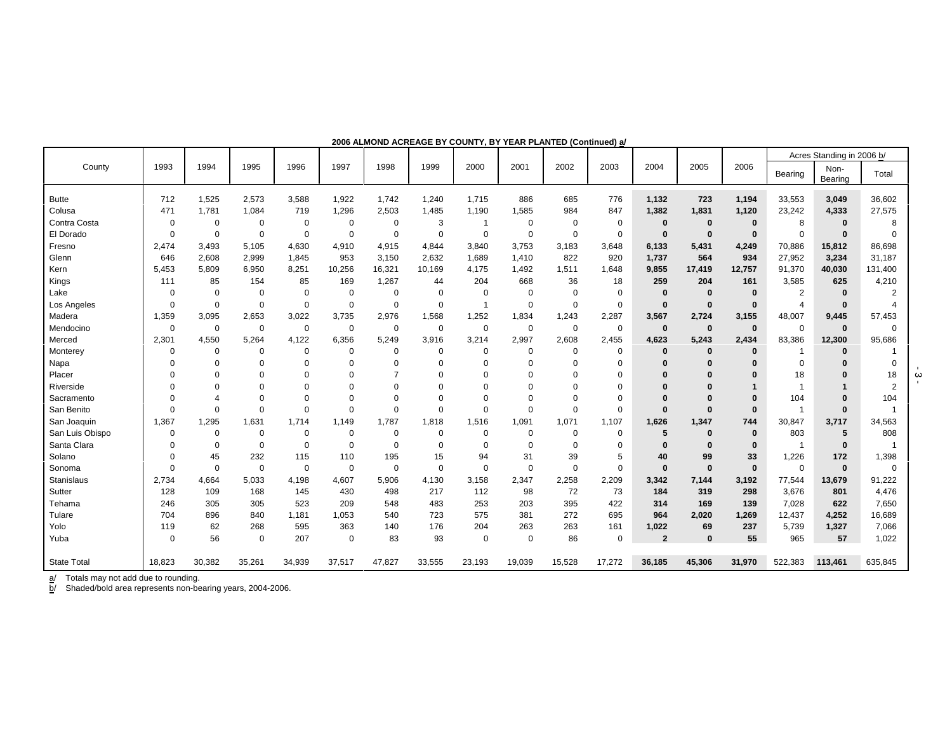|                    |          |             |             |             |             |             |                |                |             |             |             |                |              | Acres Standing in 2006 b/ |                |                 |                |
|--------------------|----------|-------------|-------------|-------------|-------------|-------------|----------------|----------------|-------------|-------------|-------------|----------------|--------------|---------------------------|----------------|-----------------|----------------|
| County             | 1993     | 1994        | 1995        | 1996        | 1997        | 1998        | 1999           | 2000           | 2001        | 2002        | 2003        | 2004           | 2005         | 2006                      | Bearing        | Non-<br>Bearing | Total          |
| <b>Butte</b>       | 712      | 1,525       | 2,573       | 3,588       | 1,922       | 1,742       | 1,240          | 1.715          | 886         | 685         | 776         | 1,132          | 723          | 1,194                     | 33,553         | 3,049           | 36,602         |
| Colusa             | 471      | 1,781       | 1,084       | 719         | 1,296       | 2,503       | 1,485          | 1,190          | 1,585       | 984         | 847         | 1,382          | 1,831        | 1,120                     | 23,242         | 4,333           | 27,575         |
| Contra Costa       | $\Omega$ | 0           | $\Omega$    | 0           | $\mathbf 0$ | 0           | 3              | $\overline{1}$ | $\Omega$    | 0           | 0           | $\bf{0}$       | $\bf{0}$     | $\bf{0}$                  | 8              | $\Omega$        | 8              |
| El Dorado          | $\Omega$ | 0           | $\Omega$    | 0           | $\Omega$    | 0           | $\Omega$       | 0              | $\Omega$    | 0           | 0           | $\bf{0}$       | $\bf{0}$     | $\bf{0}$                  | $\Omega$       | $\Omega$        |                |
| Fresno             | 2,474    | 3,493       | 5,105       | 4,630       | 4,910       | 4,915       | 4,844          | 3,840          | 3,753       | 3,183       | 3,648       | 6,133          | 5,431        | 4,249                     | 70,886         | 15,812          | 86,698         |
| Glenn              | 646      | 2,608       | 2,999       | 1,845       | 953         | 3,150       | 2,632          | 1,689          | 1,410       | 822         | 920         | 1,737          | 564          | 934                       | 27,952         | 3,234           | 31,187         |
| Kern               | 5,453    | 5,809       | 6,950       | 8,251       | 10,256      | 16,321      | 10,169         | 4,175          | 1,492       | 1,511       | 1,648       | 9,855          | 17,419       | 12,757                    | 91,370         | 40,030          | 131,400        |
| Kings              | 111      | 85          | 154         | 85          | 169         | 1,267       | 44             | 204            | 668         | 36          | 18          | 259            | 204          | 161                       | 3,585          | 625             | 4,210          |
| Lake               | $\Omega$ | 0           | $\Omega$    | $\mathbf 0$ | 0           | 0           | $\mathbf 0$    | 0              | $\mathbf 0$ | 0           | 0           | $\bf{0}$       | $\bf{0}$     | $\bf{0}$                  | $\overline{2}$ | $\bf{0}$        | $\overline{2}$ |
| Los Angeles        | $\Omega$ | 0           | $\Omega$    | 0           | $\mathbf 0$ | 0           | $\overline{0}$ | $\overline{1}$ | $\Omega$    | 0           | $\mathbf 0$ | $\mathbf{0}$   | $\mathbf 0$  | $\bf{0}$                  | $\overline{4}$ | $\bf{0}$        |                |
| Madera             | 1,359    | 3,095       | 2,653       | 3,022       | 3,735       | 2,976       | 1,568          | 1,252          | 1,834       | 1,243       | 2,287       | 3,567          | 2,724        | 3,155                     | 48,007         | 9,445           | 57,453         |
| Mendocino          | $\Omega$ | 0           | $\Omega$    | 0           | $\Omega$    | 0           | $\Omega$       | $\mathbf 0$    | $\Omega$    | 0           | $\mathbf 0$ | $\mathbf{0}$   | $\mathbf 0$  | $\bf{0}$                  | $\Omega$       | $\bf{0}$        | $\Omega$       |
| Merced             | 2,301    | 4,550       | 5,264       | 4,122       | 6,356       | 5,249       | 3,916          | 3,214          | 2,997       | 2,608       | 2,455       | 4,623          | 5,243        | 2,434                     | 83,386         | 12,300          | 95,686         |
| Monterey           | $\Omega$ | 0           | $\Omega$    | 0           | $\Omega$    | 0           | 0              | 0              | $\Omega$    | 0           | 0           | $\mathbf 0$    | $\mathbf 0$  | $\bf{0}$                  | -1             | $\bf{0}$        |                |
| Napa               |          | $\Omega$    | $\Omega$    | $\Omega$    | $\Omega$    | 0           | $\Omega$       | $\Omega$       | $\Omega$    | 0           | $\Omega$    | $\Omega$       | $\Omega$     | $\Omega$                  | $\Omega$       |                 | $\Omega$       |
| Placer             |          | O           |             | O           |             | 7           |                | 0              | $\Omega$    | 0           | $\Omega$    | $\Omega$       |              | $\Omega$                  | 18             | $\Omega$        | 18             |
| Riverside          |          | O           |             | 0           | $\Omega$    | 0           |                | O              | $\Omega$    | 0           | $\Omega$    | $\Omega$       |              |                           | $\overline{1}$ |                 | $\overline{2}$ |
| Sacramento         |          | Δ           | $\Omega$    | $\Omega$    | $\Omega$    | 0           | $\Omega$       | $\Omega$       | $\Omega$    | $\Omega$    | $\mathbf 0$ | $\Omega$       | $\Omega$     | $\bf{0}$                  | 104            | $\Omega$        | 104            |
| San Benito         | $\Omega$ | $\mathbf 0$ | $\Omega$    | $\Omega$    | $\Omega$    | $\mathbf 0$ | $\mathbf 0$    | $\mathbf 0$    | $\Omega$    | $\mathbf 0$ | $\mathbf 0$ | $\bf{0}$       | $\mathbf{0}$ | $\bf{0}$                  | $\overline{1}$ | $\Omega$        |                |
| San Joaquin        | 1,367    | 1,295       | 1,631       | 1,714       | 1,149       | 1,787       | 1,818          | 1,516          | 1,091       | 1,071       | 1,107       | 1,626          | 1,347        | 744                       | 30,847         | 3,717           | 34,563         |
| San Luis Obispo    | $\Omega$ | 0           | $\Omega$    | 0           | $\mathbf 0$ | 0           | $\mathbf 0$    | 0              | $\Omega$    | 0           | 0           | 5              | $\bf{0}$     | $\bf{0}$                  | 803            | 5               | 808            |
| Santa Clara        |          | $\Omega$    | $\Omega$    | 0           | $\Omega$    | 0           | $\Omega$       | $\Omega$       | $\Omega$    | 0           | 0           | $\Omega$       | $\mathbf{0}$ | $\bf{0}$                  | $\overline{1}$ | $\Omega$        | -1             |
| Solano             | $\Omega$ | 45          | 232         | 115         | 110         | 195         | 15             | 94             | 31          | 39          | 5           | 40             | 99           | 33                        | 1,226          | 172             | 1,398          |
| Sonoma             | $\Omega$ | 0           | $\Omega$    | $\mathbf 0$ | $\Omega$    | $\mathbf 0$ | $\mathbf 0$    | $\mathbf 0$    | $\mathbf 0$ | $\mathbf 0$ | $\mathbf 0$ | $\bf{0}$       | $\bf{0}$     | $\bf{0}$                  | $\Omega$       | $\bf{0}$        | $\Omega$       |
| Stanislaus         | 2,734    | 4,664       | 5,033       | 4,198       | 4,607       | 5,906       | 4,130          | 3,158          | 2,347       | 2,258       | 2,209       | 3,342          | 7,144        | 3,192                     | 77,544         | 13,679          | 91,222         |
| Sutter             | 128      | 109         | 168         | 145         | 430         | 498         | 217            | 112            | 98          | 72          | 73          | 184            | 319          | 298                       | 3,676          | 801             | 4,476          |
| Tehama             | 246      | 305         | 305         | 523         | 209         | 548         | 483            | 253            | 203         | 395         | 422         | 314            | 169          | 139                       | 7,028          | 622             | 7,650          |
| Tulare             | 704      | 896         | 840         | 1,181       | 1,053       | 540         | 723            | 575            | 381         | 272         | 695         | 964            | 2,020        | 1,269                     | 12,437         | 4,252           | 16,689         |
| Yolo               | 119      | 62          | 268         | 595         | 363         | 140         | 176            | 204            | 263         | 263         | 161         | 1,022          | 69           | 237                       | 5,739          | 1,327           | 7,066          |
| Yuba               | $\Omega$ | 56          | $\mathbf 0$ | 207         | $\mathbf 0$ | 83          | 93             | $\mathbf 0$    | $\Omega$    | 86          | $\mathbf 0$ | $\overline{2}$ | $\Omega$     | 55                        | 965            | 57              | 1,022          |
|                    |          | 30,382      |             |             |             |             |                |                |             |             |             |                |              | 31,970                    |                |                 |                |
| <b>State Total</b> | 18,823   |             | 35,261      | 34,939      | 37,517      | 47,827      | 33,555         | 23,193         | 19,039      | 15,528      | 17,272      | 36,185         | 45,306       |                           | 522,383        | 113,461         | 635,845        |

**2006 ALMOND ACREAGE BY COUNTY, BY YEAR PLANTED (Continued) a/**

a/ Totals may not add due to rounding.

b/ Shaded/bold area represents non-bearing years, 2004-2006.

- 3 -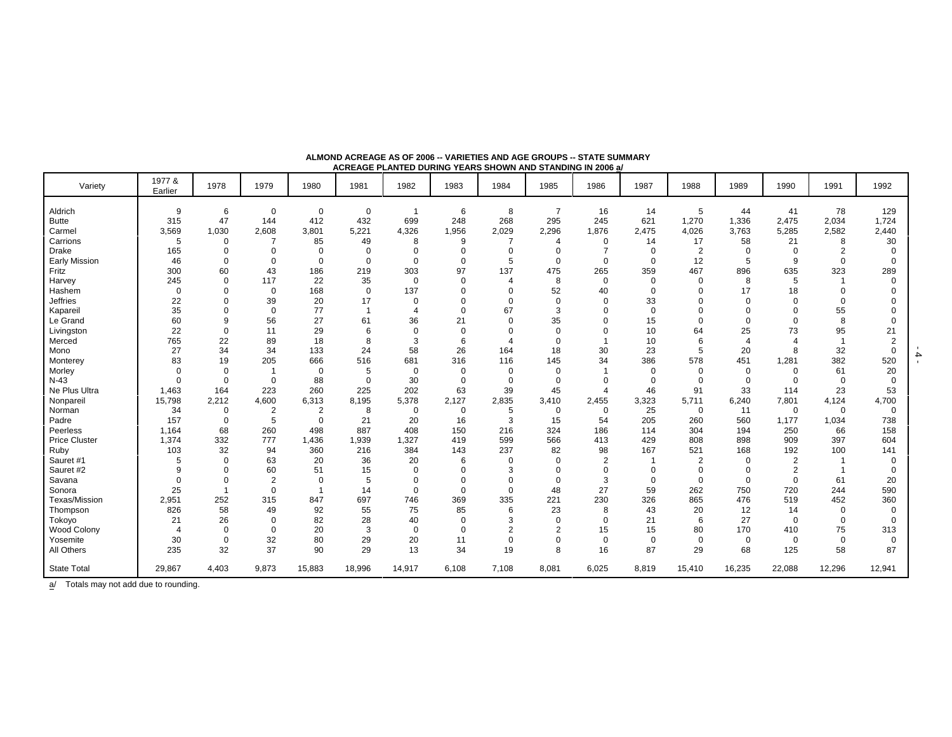|                      |                   |             |                |                |                         | AUNCAUL I CANTLO DUNNU TCANO UNUVIN AND UTANDING IN 2000 & |                         |                |                |                |               |                            |                |                |             |          |
|----------------------|-------------------|-------------|----------------|----------------|-------------------------|------------------------------------------------------------|-------------------------|----------------|----------------|----------------|---------------|----------------------------|----------------|----------------|-------------|----------|
| Variety              | 1977 &<br>Earlier | 1978        | 1979           | 1980           | 1981                    | 1982                                                       | 1983                    | 1984           | 1985           | 1986           | 1987          | 1988                       | 1989           | 1990           | 1991        | 1992     |
| Aldrich              | 9                 | 6           | $\mathbf 0$    | $\mathbf 0$    | 0                       |                                                            | 6                       | 8              | $\overline{7}$ | 16             | 14            | 5                          | 44             | 41             | 78          | 129      |
| <b>Butte</b>         | 315               | 47          | 144            | 412            | 432                     | 699                                                        | 248                     | 268            | 295            | 245            | 621           | 1,270                      | 1,336          | 2,475          | 2,034       | 1,724    |
| Carmel               | 3,569             | 1,030       | 2,608          | 3,801          | 5,221                   | 4,326                                                      | 1,956                   | 2,029          | 2,296          | 1,876          | 2,475         | 4,026                      | 3,763          | 5,285          | 2,582       | 2,440    |
| Carrions             | 5                 | $\Omega$    |                | 85             | 49                      | 8                                                          | 9                       | 7              |                | 0              | 14            | 17                         | 58             | 21             | 8           | 30       |
| Drake                | 165               | 0           | 0              | $\mathbf 0$    | 0                       | $\Omega$                                                   | $\mathbf 0$             | $\mathbf 0$    | $\mathbf 0$    | $\overline{7}$ | $\mathbf 0$   | $\overline{2}$             | $\mathbf 0$    | $\Omega$       | 2           |          |
| <b>Early Mission</b> | 46                | $\Omega$    | $\Omega$       | $\mathbf 0$    | $\mathbf 0$             | $\Omega$                                                   | $\Omega$                | 5              | $\Omega$       | 0              | $\Omega$      | 12                         | 5              | 9              | $\Omega$    |          |
| Fritz                | 300               | 60          | 43             | 186            | 219                     | 303                                                        | 97                      | 137            | 475            | 265            | 359           | 467                        | 896            | 635            | 323         | 289      |
| Harvey               | 245               | $\Omega$    | 117            |                | 35                      | $\Omega$                                                   |                         | 4              |                |                |               |                            |                | 5              |             |          |
| Hashem               | $\mathbf 0$       | $\Omega$    | $\mathbf 0$    | 22             | $\mathbf 0$             | 137                                                        | $\mathbf 0$<br>$\Omega$ | $\Omega$       | 8              | 0              | 0<br>$\Omega$ | $\mathbf 0$<br>$\mathbf 0$ | 8<br>17        |                |             |          |
|                      |                   |             |                | 168            |                         | $\Omega$                                                   | $\Omega$                |                | 52             | 40             |               |                            | $\Omega$       | 18             | ∩           |          |
| <b>Jeffries</b>      | 22                | $\Omega$    | 39             | 20             | 17                      |                                                            |                         | $\mathbf 0$    | $\mathbf 0$    | $\mathbf 0$    | 33            | $\Omega$                   |                |                |             |          |
| Kapareil             | 35                | $\Omega$    | $\mathbf 0$    | 77             | $\overline{\mathbf{1}}$ | $\overline{4}$                                             | $\Omega$                | 67             | 3              | 0              | $\mathbf 0$   | $\Omega$                   | $\Omega$       |                | 55          |          |
| Le Grand             | 60                | 9           | 56             | 27             | 61                      | 36                                                         | 21                      | $\mathbf 0$    | 35             | 0              | 15            | $\Omega$                   | $\Omega$       |                | 8           |          |
| Livingston           | 22                | $\Omega$    | 11             | 29             | 6                       | $\Omega$                                                   | $\mathbf 0$             | $\mathbf 0$    | $\mathbf 0$    |                | 10            | 64                         | 25             | 73             | 95          | 21       |
| Merced               | 765               | 22          | 89             | 18             | 8                       | 3                                                          | 6                       | $\overline{4}$ | $\mathbf 0$    |                | 10            | 6                          | $\overline{4}$ | Δ              |             |          |
| Mono                 | 27                | 34          | 34             | 133            | 24                      | 58                                                         | 26                      | 164            | 18             | 30             | 23            | 5                          | 20             |                | 32          | $\Omega$ |
| Monterey             | 83                | 19          | 205            | 666            | 516                     | 681                                                        | 316                     | 116            | 145            | 34             | 386           | 578                        | 451            | 1,281          | 382         | 520      |
| Morley               | $\Omega$          | $\Omega$    |                | $\mathbf 0$    | 5                       | $\Omega$                                                   | $\mathbf 0$             | $\mathbf 0$    | $\mathbf 0$    | $\overline{1}$ | 0             | $\mathbf 0$                | $\mathbf 0$    | $\Omega$       | 61          | 20       |
| $N-43$               | $\Omega$          | $\mathbf 0$ | $\mathbf 0$    | 88             | $\mathbf 0$             | 30                                                         | $\mathbf 0$             | $\mathbf 0$    | $\mathbf 0$    | $\Omega$       | $\Omega$      | $\mathbf 0$                | $\mathbf 0$    | $\Omega$       | $\mathbf 0$ |          |
| Ne Plus Ultra        | 1,463             | 164         | 223            | 260            | 225                     | 202                                                        | 63                      | 39             | 45             | $\overline{4}$ | 46            | 91                         | 33             | 114            | 23          | 53       |
| Nonpareil            | 15,798            | 2,212       | 4,600          | 6,313          | 8,195                   | 5,378                                                      | 2,127                   | 2,835          | 3,410          | 2,455          | 3,323         | 5,711                      | 6,240          | 7,801          | 4,124       | 4,700    |
| Norman               | 34                | 0           | 2              | $\overline{2}$ | 8                       | $\mathbf 0$                                                | $\mathbf 0$             | 5              | 0              | 0              | 25            | $\mathbf 0$                | 11             | $\mathbf 0$    | $\mathbf 0$ | $\Omega$ |
| Padre                | 157               | $\Omega$    | 5              | $\mathbf 0$    | 21                      | 20                                                         | 16                      | 3              | 15             | 54             | 205           | 260                        | 560            | 1,177          | 1,034       | 738      |
| Peerless             | 1,164             | 68          | 260            | 498            | 887                     | 408                                                        | 150                     | 216            | 324            | 186            | 114           | 304                        | 194            | 250            | 66          | 158      |
| <b>Price Cluster</b> | 1,374             | 332         | 777            | 1,436          | 1,939                   | 1,327                                                      | 419                     | 599            | 566            | 413            | 429           | 808                        | 898            | 909            | 397         | 604      |
| Ruby                 | 103               | 32          | 94             | 360            | 216                     | 384                                                        | 143                     | 237            | 82             | 98             | 167           | 521                        | 168            | 192            | 100         | 141      |
| Sauret #1            | 5                 | $\Omega$    | 63             | 20             | 36                      | 20                                                         | 6                       | $\mathbf 0$    | $\Omega$       | 2              | -1            | $\overline{2}$             | $\Omega$       | $\overline{2}$ |             |          |
| Sauret #2            | 9                 | $\Omega$    | 60             | 51             | 15                      | $\Omega$                                                   | $\Omega$                | 3              | $\Omega$       | $\Omega$       | $\Omega$      | $\mathbf 0$                | $\Omega$       | $\overline{2}$ |             |          |
| Savana               | $\Omega$          | $\Omega$    | $\overline{2}$ | $\Omega$       | 5                       | $\Omega$                                                   | $\Omega$                | $\mathbf 0$    | $\Omega$       | 3              | 0             | $\mathbf 0$                | $\Omega$       | $\Omega$       | 61          | 20       |
| Sonora               | 25                |             | $\mathbf 0$    |                | 14                      | $\Omega$                                                   | $\mathbf 0$             | $\mathbf 0$    | 48             | 27             | 59            | 262                        | 750            | 720            | 244         | 590      |
| Texas/Mission        | 2,951             | 252         | 315            | 847            | 697                     | 746                                                        | 369                     | 335            | 221            | 230            | 326           | 865                        | 476            | 519            | 452         | 360      |
| Thompson             | 826               | 58          | 49             | 92             | 55                      | 75                                                         | 85                      | 6              | 23             | 8              | 43            | 20                         | 12             | 14             | $\Omega$    |          |
| Tokoyo               | 21                | 26          | $\Omega$       | 82             | 28                      | 40                                                         | $\mathbf 0$             | 3              | $\mathbf 0$    | $\Omega$       | 21            | 6                          | 27             | $\Omega$       | $\Omega$    |          |
| Wood Colony          | $\overline{4}$    | $\Omega$    | $\Omega$       | 20             | 3                       | $\Omega$                                                   | $\mathbf 0$             | $\overline{2}$ | $\overline{2}$ | 15             | 15            | 80                         | 170            | 410            | 75          | 313      |
| Yosemite             | 30                | $\mathbf 0$ | 32             | 80             | 29                      | 20                                                         | 11                      | $\mathbf 0$    | 0              | 0              | 0             | $\mathbf 0$                | 0              | $\mathbf 0$    | $\mathbf 0$ | $\Omega$ |
| All Others           | 235               | 32          | 37             | 90             | 29                      | 13                                                         | 34                      | 19             | 8              | 16             | 87            | 29                         | 68             | 125            | 58          | 87       |
| <b>State Total</b>   | 29,867            | 4,403       | 9,873          | 15,883         | 18,996                  | 14,917                                                     | 6,108                   | 7,108          | 8,081          | 6,025          | 8,819         | 15,410                     | 16,235         | 22,088         | 12,296      | 12,941   |

**ALMOND ACREAGE AS OF 2006 -- VARIETIES AND AGE GROUPS -- STATE SUMMARY ACREAGE PLANTED DURING YEARS SHOWN AND STANDING IN 2006 a/**

 $\frac{a}{b}$  Totals may not add due to rounding.

- 4 -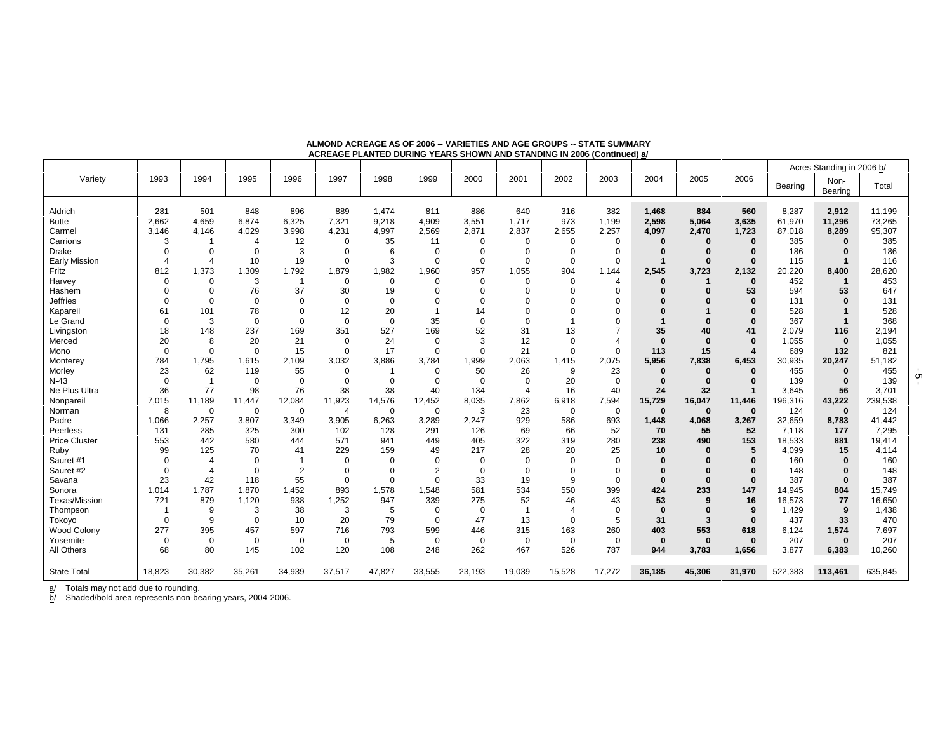|                      |                |                |                |                |                |                |                |             |                       |                |                |          |             |                  |         | Acres Standing in 2006 b/ |         |
|----------------------|----------------|----------------|----------------|----------------|----------------|----------------|----------------|-------------|-----------------------|----------------|----------------|----------|-------------|------------------|---------|---------------------------|---------|
| Variety              | 1993           | 1994           | 1995           | 1996           | 1997           | 1998           | 1999           | 2000        | 2001                  | 2002           | 2003           | 2004     | 2005        | 2006             | Bearing | Non-<br>Bearing           | Total   |
| Aldrich              | 281            | 501            | 848            | 896            | 889            | 1,474          | 811            | 886         | 640                   | 316            | 382            | 1,468    | 884         | 560              | 8,287   | 2,912                     | 11,199  |
| <b>Butte</b>         | 2,662          | 4,659          | 6,874          | 6,325          | 7,321          | 9,218          | 4,909          | 3,551       | 1,717                 | 973            | 1,199          | 2,598    | 5.064       | 3,635            | 61,970  | 11,296                    | 73,265  |
| Carmel               | 3.146          | 4.146          | 4,029          | 3,998          | 4.231          | 4.997          | 2,569          | 2.871       | 2.837                 | 2,655          | 2,257          | 4.097    | 2,470       | 1,723            | 87,018  | 8,289                     | 95,307  |
| Carrions             | 3              | -1             | $\overline{4}$ | 12             | $\Omega$       | 35             | 11             | $\mathbf 0$ | $\Omega$              | $\Omega$       | $\Omega$       | $\Omega$ | $\bf{0}$    | $\bf{0}$         | 385     | $\bf{0}$                  | 385     |
| <b>Drake</b>         | $\Omega$       | $\Omega$       | 0              | 3              | $\Omega$       | 6              | 0              | 0           | $\Omega$              | $\Omega$       | $\Omega$       |          |             | 0                | 186     | $\bf{0}$                  | 186     |
| <b>Early Mission</b> | $\overline{4}$ | $\overline{4}$ | 10             | 19             | $\Omega$       | 3              | $\mathbf 0$    | $\mathbf 0$ | $\Omega$              | $\Omega$       | $\Omega$       |          | $\Omega$    | $\Omega$         | 115     |                           | 116     |
| Fritz                | 812            | 1,373          | 1,309          | 1,792          | 1,879          | 1,982          | 1,960          | 957         | 1,055                 | 904            | 1.144          | 2,545    | 3,723       | 2,132            | 20,220  | 8,400                     | 28,620  |
| Harvey               | $\mathbf 0$    | $\Omega$       | 3              | $\overline{1}$ | $\mathbf 0$    | $\mathbf 0$    | $\mathbf 0$    | $\mathbf 0$ | $\Omega$              | $\Omega$       | $\overline{4}$ | $\Omega$ | 1           | $\bf{0}$         | 452     | -1                        | 453     |
| Hashem               | $\mathbf 0$    | $\Omega$       | 76             | 37             | 30             | 19             | $\mathbf 0$    | $\Omega$    | O                     | $\Omega$       | $\Omega$       |          |             | 53               | 594     | 53                        | 647     |
| <b>Jeffries</b>      | $\Omega$       | $\Omega$       | $\mathbf 0$    | $\mathbf 0$    | $\Omega$       | $\mathbf 0$    | $\Omega$       | $\Omega$    | n                     |                | $\Omega$       |          |             | $\Omega$         | 131     | $\Omega$                  | 131     |
| Kapareil             | 61             | 101            | 78             | 0              | 12             | 20             | $\overline{1}$ | 14          | $\Omega$              |                | $\Omega$       |          |             | 0                | 528     |                           | 528     |
| Le Grand             | $\mathbf 0$    | 3              | $\mathbf 0$    | $\mathbf 0$    | $\Omega$       | $\mathbf 0$    | 35             | $\mathbf 0$ | $\Omega$              |                | $\Omega$       |          |             | $\Omega$         | 367     | $\mathbf{1}$              | 368     |
| Livingston           | 18             | 148            | 237            | 169            | 351            | 527            | 169            | 52          | 31                    | 13             | $\overline{7}$ | 35       | 40          | 41               | 2.079   | 116                       | 2,194   |
| Merced               | 20             | 8              | 20             | 21             | $\Omega$       | 24             | $\mathbf 0$    | 3           | 12                    | $\mathbf 0$    | $\overline{4}$ | $\bf{0}$ | $\Omega$    | $\Omega$         | 1,055   | $\bf{0}$                  | 1,055   |
| Mono                 | $\overline{0}$ | $\Omega$       | $\mathbf 0$    | 15             | $\Omega$       | 17             | $\mathbf 0$    | $\mathbf 0$ | 21                    | $\mathbf 0$    | $\Omega$       | 113      | 15          | $\boldsymbol{4}$ | 689     | 132                       | 821     |
| Monterey             | 784            | 1,795          | 1,615          | 2,109          | 3,032          | 3,886          | 3,784          | 1,999       | 2,063                 | 1.415          | 2,075          | 5.956    | 7,838       | 6,453            | 30,935  | 20,247                    | 51,182  |
| Morley               | 23             | 62             | 119            | 55             | $\Omega$       | $\overline{1}$ | $\mathbf 0$    | 50          | 26                    | 9              | 23             | $\bf{0}$ | $\Omega$    | $\Omega$         | 455     | $\bf{0}$                  | 455     |
| $N-43$               | $\mathbf 0$    | $\overline{1}$ | 0              | 0              | $\Omega$       | $\mathbf 0$    | $\mathbf 0$    | 0           | $\Omega$              | 20             | $\mathbf 0$    | $\bf{0}$ | $\Omega$    | 0                | 139     | $\bf{0}$                  | 139     |
| Ne Plus Ultra        | 36             | 77             | 98             | 76             | 38             | 38             | 40             | 134         | $\boldsymbol{\Delta}$ | 16             | 40             | 24       | 32          |                  | 3.645   | 56                        | 3.701   |
| Nonpareil            | 7,015          | 11,189         | 11,447         | 12,084         | 11,923         | 14,576         | 12,452         | 8,035       | 7,862                 | 6,918          | 7,594          | 15,729   | 16,047      | 11,446           | 196,316 | 43,222                    | 239,538 |
| Norman               | 8              | $\Omega$       | $\mathbf 0$    | $\mathbf 0$    | $\overline{4}$ | $\mathbf 0$    | $\mathbf 0$    | 3           | 23                    | $\mathbf 0$    | $\mathbf 0$    | $\bf{0}$ | $\mathbf 0$ | $\bf{0}$         | 124     | $\mathbf{0}$              | 124     |
| Padre                | 1,066          | 2,257          | 3,807          | 3,349          | 3,905          | 6,263          | 3,289          | 2,247       | 929                   | 586            | 693            | 1,448    | 4,068       | 3,267            | 32,659  | 8,783                     | 41,442  |
| Peerless             | 131            | 285            | 325            | 300            | 102            | 128            | 291            | 126         | 69                    | 66             | 52             | 70       | 55          | 52               | 7,118   | 177                       | 7,295   |
| <b>Price Cluster</b> | 553            | 442            | 580            | 444            | 571            | 941            | 449            | 405         | 322                   | 319            | 280            | 238      | 490         | 153              | 18,533  | 881                       | 19,414  |
| Ruby                 | 99             | 125            | 70             | 41             | 229            | 159            | 49             | 217         | 28                    | 20             | 25             | 10       | $\bf{0}$    | 5                | 4,099   | 15                        | 4,114   |
| Sauret #1            | $\mathbf 0$    | $\overline{4}$ | $\mathbf 0$    | $\overline{1}$ | $\Omega$       | $\Omega$       | $\Omega$       | $\mathbf 0$ | $\Omega$              | $\Omega$       | $\Omega$       | $\Omega$ |             | $\Omega$         | 160     | $\bf{0}$                  | 160     |
| Sauret #2            | $\Omega$       | $\overline{4}$ | $\mathbf 0$    | $\overline{2}$ | $\Omega$       | $\Omega$       | $\overline{2}$ | $\mathbf 0$ | $\Omega$              | $\Omega$       | $\Omega$       |          |             | $\Omega$         | 148     | $\bf{0}$                  | 148     |
| Savana               | 23             | 42             | 118            | 55             | $\Omega$       | $\mathbf 0$    | $\Omega$       | 33          | 19                    | 9              | $\Omega$       | $\bf{0}$ | $\Omega$    | $\bf{0}$         | 387     | $\Omega$                  | 387     |
| Sonora               | 1.014          | 1,787          | 1,870          | 1,452          | 893            | 1,578          | 1,548          | 581         | 534                   | 550            | 399            | 424      | 233         | 147              | 14,945  | 804                       | 15,749  |
| Texas/Mission        | 721            | 879            | 1,120          | 938            | 1,252          | 947            | 339            | 275         | 52                    | 46             | 43             | 53       | 9           | 16               | 16,573  | 77                        | 16,650  |
| Thompson             | -1             | 9              | 3              | 38             | 3              | 5              | 0              | 0           | $\overline{1}$        | $\overline{4}$ | $\Omega$       | $\bf{0}$ |             | 9                | 1,429   | 9                         | 1,438   |
| Tokoyo               | $\overline{0}$ | 9              | 0              | 10             | 20             | 79             | $\mathbf 0$    | 47          | 13                    | $\Omega$       | 5              | 31       | 3           | $\bf{0}$         | 437     | 33                        | 470     |
| <b>Wood Colony</b>   | 277            | 395            | 457            | 597            | 716            | 793            | 599            | 446         | 315                   | 163            | 260            | 403      | 553         | 618              | 6,124   | 1,574                     | 7,697   |
| Yosemite             | $\mathbf 0$    | $\Omega$       | $\mathbf 0$    | $\mathbf 0$    | $\Omega$       | 5              | $\mathbf 0$    | $\mathbf 0$ | $\Omega$              | $\mathbf 0$    | $\mathbf 0$    | $\bf{0}$ | $\bf{0}$    | $\bf{0}$         | 207     | $\bf{0}$                  | 207     |
| All Others           | 68             | 80             | 145            | 102            | 120            | 108            | 248            | 262         | 467                   | 526            | 787            | 944      | 3,783       | 1,656            | 3,877   | 6,383                     | 10,260  |
| <b>State Total</b>   | 18,823         | 30,382         | 35,261         | 34,939         | 37,517         | 47,827         | 33,555         | 23,193      | 19,039                | 15,528         | 17,272         | 36,185   | 45,306      | 31,970           | 522,383 | 113,461                   | 635,845 |

**ALMOND ACREAGE AS OF 2006 -- VARIETIES AND AGE GROUPS -- STATE SUMMARYACREAGE PLANTED DURING YEARS SHOWN AND STANDING IN 2006 (Continued) a/**

a/ Totals may not add due to rounding.

b/ Shaded/bold area represents non-bearing years, 2004-2006.

 $\frac{1}{9}$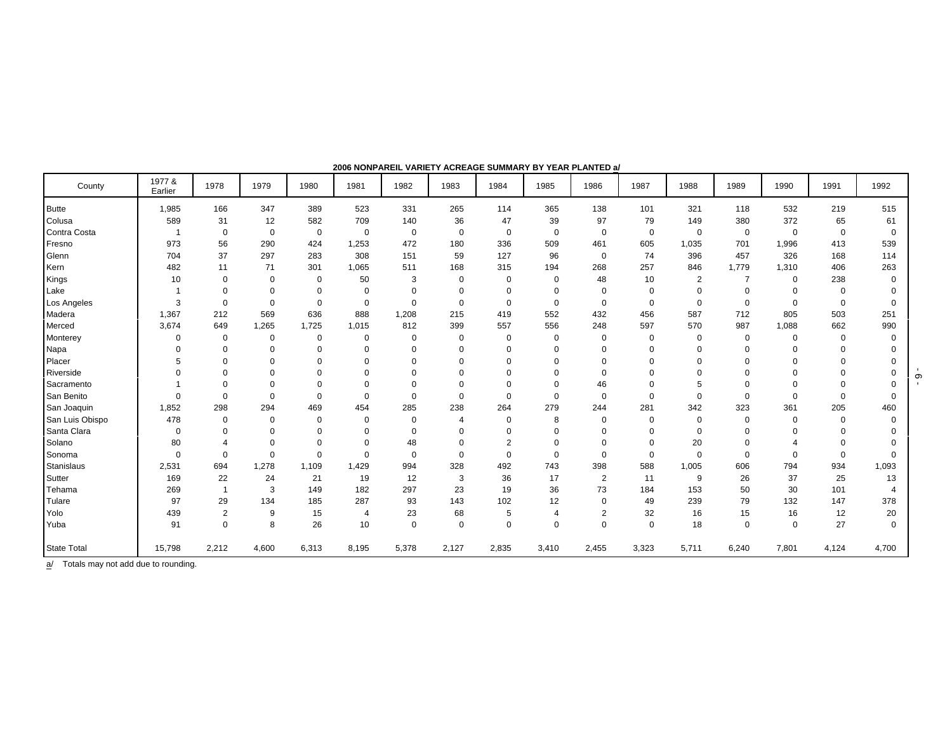| County             | 1977 &<br>Earlier | 1978           | 1979        | 1980        | 1981           | 1982        | 1983        | 1984           | 1985           | 1986           | 1987        | 1988           | 1989           | 1990        | 1991              | 1992        |
|--------------------|-------------------|----------------|-------------|-------------|----------------|-------------|-------------|----------------|----------------|----------------|-------------|----------------|----------------|-------------|-------------------|-------------|
| <b>Butte</b>       | 1,985             | 166            | 347         | 389         | 523            | 331         | 265         | 114            | 365            | 138            | 101         | 321            | 118            | 532         | 219               | 515         |
| Colusa             | 589               | 31             | 12          | 582         | 709            | 140         | 36          | 47             | 39             | 97             | 79          | 149            | 380            | 372         | 65                | 61          |
| Contra Costa       | $\mathbf{1}$      | $\mathbf 0$    | $\mathbf 0$ | $\mathbf 0$ | $\mathbf 0$    | $\mathbf 0$ | $\mathbf 0$ | $\mathbf 0$    | 0              | $\mathbf 0$    | $\mathbf 0$ | $\mathbf 0$    | $\mathbf 0$    | $\mathbf 0$ | $\mathbf 0$       | $\mathbf 0$ |
| Fresno             | 973               | 56             | 290         | 424         | 1,253          | 472         | 180         | 336            | 509            | 461            | 605         | 1,035          | 701            | 1,996       | 413               | 539         |
| Glenn              | 704               | 37             | 297         | 283         | 308            | 151         | 59          | 127            | 96             | $\mathbf 0$    | 74          | 396            | 457            | 326         | 168               | 114         |
| Kern               | 482               | 11             | 71          | 301         | 1,065          | 511         | 168         | 315            | 194            | 268            | 257         | 846            | 1,779          | 1,310       | 406               | 263         |
| Kings              | 10                | $\Omega$       | 0           | $\Omega$    | 50             | 3           | $\Omega$    | $\Omega$       | 0              | 48             | 10          | $\overline{2}$ | $\overline{7}$ | $\mathbf 0$ | 238               | 0           |
| Lake               |                   | $\Omega$       | $\mathbf 0$ | 0           | $\mathbf 0$    | $\mathbf 0$ | 0           | $\mathbf 0$    | 0              | $\mathbf 0$    | $\mathbf 0$ | $\Omega$       | $\Omega$       | $\Omega$    | $\mathbf 0$       | $\Omega$    |
| Los Angeles        | 3                 | $\Omega$       | $\mathbf 0$ | $\Omega$    | $\mathbf 0$    | $\mathbf 0$ | $\mathbf 0$ | $\mathbf 0$    | 0              | $\mathbf 0$    | $\mathbf 0$ | $\Omega$       | $\mathbf 0$    | $\mathbf 0$ | $\mathbf 0$       | $\Omega$    |
| Madera             | 1,367             | 212            | 569         | 636         | 888            | 1,208       | 215         | 419            | 552            | 432            | 456         | 587            | 712            | 805         | 503               | 251         |
| Merced             | 3,674             | 649            | 1,265       | 1,725       | 1,015          | 812         | 399         | 557            | 556            | 248            | 597         | 570            | 987            | 1,088       | 662               | 990         |
| Monterey           | 0                 | 0              | $\mathbf 0$ | 0           | $\mathbf 0$    | $\mathbf 0$ | 0           | $\mathbf 0$    | $\mathbf 0$    | $\mathbf 0$    | $\mathbf 0$ | $\mathbf 0$    | $\mathbf 0$    | $\mathbf 0$ | $\mathbf 0$       | $\mathbf 0$ |
| Napa               | $\Omega$          | $\Omega$       | $\Omega$    | 0           | $\Omega$       | 0           | 0           | 0              | 0              | $\Omega$       | 0           | $\Omega$       | $\Omega$       | $\Omega$    | $\Omega$          | $\Omega$    |
| Placer             | 5                 | $\Omega$       | 0           | 0           | $\Omega$       | $\mathbf 0$ | $\Omega$    | $\mathbf 0$    | 0              | 0              | $\mathbf 0$ | $\Omega$       | $\Omega$       | $\Omega$    | $\Omega$          | $\Omega$    |
| Riverside          | $\Omega$          | $\Omega$       | $\Omega$    | U           | $\Omega$       | $\mathbf 0$ | $\Omega$    | $\Omega$       | 0              | $\Omega$       | $\Omega$    | $\Omega$       | $\Omega$       | $\Omega$    | $\Omega$          | $\Omega$    |
| Sacramento         |                   | $\Omega$       | $\mathbf 0$ | $\mathbf 0$ | $\mathbf 0$    | $\mathbf 0$ | $\mathbf 0$ | $\mathbf 0$    | $\mathbf 0$    | 46             | $\mathbf 0$ | 5              | $\Omega$       | $\Omega$    | $\Omega$          | $\Omega$    |
| San Benito         | $\Omega$          | $\Omega$       | $\Omega$    | $\Omega$    | $\mathbf 0$    | $\mathbf 0$ | $\mathbf 0$ | $\mathbf 0$    | 0              | $\mathbf 0$    | $\Omega$    | $\Omega$       | $\Omega$       | $\Omega$    | $\mathbf 0$       | 0           |
| San Joaquin        | 1,852             | 298            | 294         | 469         | 454            | 285         | 238         | 264            | 279            | 244            | 281         | 342            | 323            | 361         | 205               | 460         |
| San Luis Obispo    | 478               | 0              | $\Omega$    | $\Omega$    | $\mathbf 0$    | $\mathbf 0$ | 4           | $\mathbf 0$    | 8              | $\mathbf 0$    | $\mathbf 0$ | $\mathbf 0$    | $\Omega$       | $\Omega$    | $\mathbf 0$       | $\mathbf 0$ |
| Santa Clara        | $\Omega$          | $\Omega$       | $\mathbf 0$ | $\Omega$    | $\Omega$       | $\mathbf 0$ | 0           | $\mathbf 0$    | 0              | $\mathbf 0$    | $\mathbf 0$ | $\Omega$       | $\Omega$       | $\Omega$    | $\Omega$          | $\Omega$    |
| Solano             | 80                | $\overline{4}$ | $\mathbf 0$ | $\Omega$    | $\Omega$       | 48          | $\mathbf 0$ | $\overline{2}$ | $\mathbf 0$    | $\mathbf 0$    | $\mathbf 0$ | 20             | $\Omega$       | 4           | $\mathbf 0$       | $\Omega$    |
| Sonoma             | $\Omega$          | $\Omega$       | $\mathbf 0$ | $\Omega$    | $\mathbf 0$    | $\mathbf 0$ | $\mathbf 0$ | $\Omega$       | 0              | $\mathbf 0$    | $\mathbf 0$ | $\Omega$       | $\mathbf 0$    | $\mathbf 0$ | $\mathbf 0$       | 0           |
| Stanislaus         | 2,531             | 694            | 1,278       | 1.109       | 1,429          | 994         | 328         | 492            | 743            | 398            | 588         | 1,005          | 606            | 794         | 934               | 1,093       |
| Sutter             | 169               | 22             | 24          | 21          | 19             | 12          | 3           | 36             | 17             | $\overline{2}$ | 11          | 9              | 26             | 37          | 25                | 13          |
| Tehama             | 269               | $\overline{1}$ | 3           | 149         | 182            | 297         | 23          | 19             | 36             | 73             | 184         | 153            | 50             | 30          | 101               | 4           |
| Tulare             | 97                | 29             | 134         | 185         | 287            | 93          | 143         | 102            | 12             | $\mathbf 0$    | 49          | 239            | 79             | 132         | 147               | 378         |
| Yolo               | 439               | $\overline{2}$ | 9           | 15          | $\overline{4}$ | 23          | 68          | 5              | $\overline{4}$ | $\overline{2}$ | 32          | 16             | 15             | 16          | $12 \overline{ }$ | 20          |
| Yuba               | 91                | $\Omega$       | 8           | 26          | 10             | $\mathbf 0$ | $\mathbf 0$ | $\Omega$       | $\mathbf 0$    | $\Omega$       | $\Omega$    | 18             | $\Omega$       | $\Omega$    | 27                | $\mathbf 0$ |
| <b>State Total</b> | 15,798            | 2,212          | 4,600       | 6,313       | 8,195          | 5,378       | 2,127       | 2,835          | 3,410          | 2,455          | 3,323       | 5,711          | 6,240          | 7,801       | 4,124             | 4,700       |

**2006 NONPAREIL VARIETY ACREAGE SUMMARY BY YEAR PLANTED a/**

 $\overline{a}$  Totals may not add due to rounding.

 $-9 -$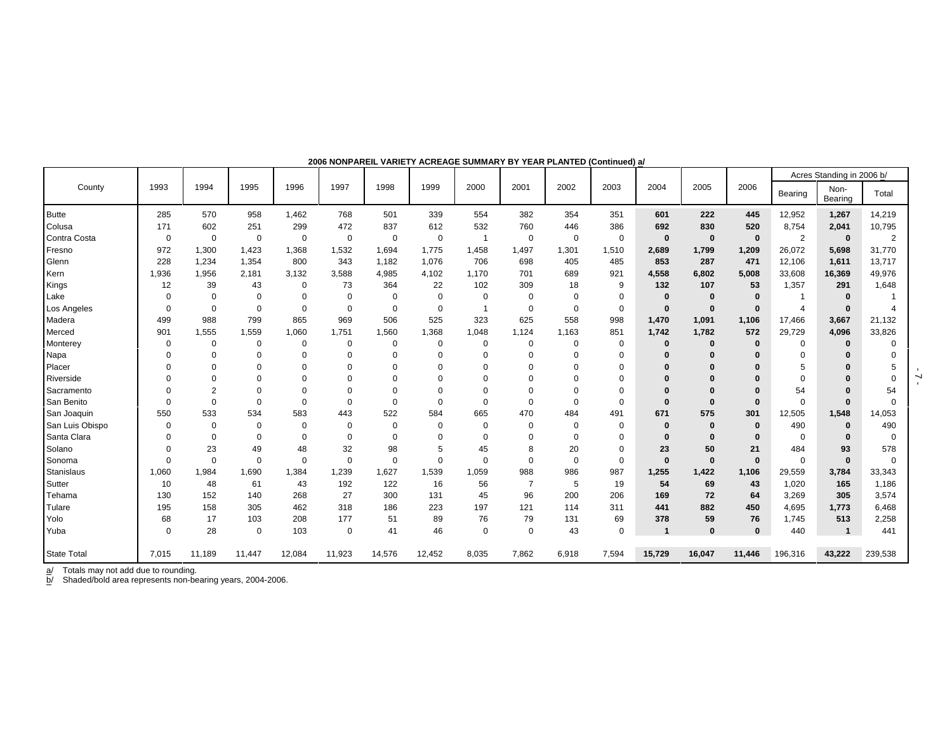|                    |          |                |             |             |             |             |             |             |                |             |             |              |          |              |                | Acres Standing in 2006 b/ |                |
|--------------------|----------|----------------|-------------|-------------|-------------|-------------|-------------|-------------|----------------|-------------|-------------|--------------|----------|--------------|----------------|---------------------------|----------------|
| County             | 1993     | 1994           | 1995        | 1996        | 1997        | 1998        | 1999        | 2000        | 2001           | 2002        | 2003        | 2004         | 2005     | 2006         | Bearing        | Non-<br>Bearing           | Total          |
| <b>Butte</b>       | 285      | 570            | 958         | 1,462       | 768         | 501         | 339         | 554         | 382            | 354         | 351         | 601          | 222      | 445          | 12,952         | 1,267                     | 14,219         |
| Colusa             | 171      | 602            | 251         | 299         | 472         | 837         | 612         | 532         | 760            | 446         | 386         | 692          | 830      | 520          | 8,754          | 2,041                     | 10,795         |
| Contra Costa       | 0        | 0              | 0           | 0           | $\mathbf 0$ | 0           | 0           |             | 0              | 0           | $\mathbf 0$ | $\bf{0}$     | $\bf{0}$ | $\mathbf{0}$ | $\overline{2}$ | $\mathbf 0$               | $\overline{2}$ |
| Fresno             | 972      | 1,300          | 1,423       | 1,368       | 1,532       | 1,694       | 1,775       | 1,458       | 1,497          | 1,301       | 1,510       | 2,689        | 1,799    | 1,209        | 26,072         | 5,698                     | 31,770         |
| Glenn              | 228      | 1,234          | 1,354       | 800         | 343         | 1,182       | 1,076       | 706         | 698            | 405         | 485         | 853          | 287      | 471          | 12,106         | 1,611                     | 13,717         |
| Kern               | 1,936    | 1,956          | 2,181       | 3,132       | 3,588       | 4,985       | 4,102       | 1,170       | 701            | 689         | 921         | 4,558        | 6,802    | 5,008        | 33,608         | 16,369                    | 49,976         |
| Kings              | 12       | 39             | 43          | 0           | 73          | 364         | 22          | 102         | 309            | 18          | 9           | 132          | 107      | 53           | 1,357          | 291                       | 1,648          |
| Lake               | $\Omega$ | $\mathbf 0$    | $\mathbf 0$ | $\mathbf 0$ | $\mathbf 0$ | 0           | 0           | $\mathbf 0$ | $\mathbf 0$    | $\mathbf 0$ | $\mathbf 0$ | $\bf{0}$     | $\bf{0}$ | $\Omega$     |                | $\bf{0}$                  |                |
| Los Angeles        | $\Omega$ | $\mathbf 0$    | $\Omega$    | $\Omega$    | $\mathbf 0$ | $\mathbf 0$ | $\mathbf 0$ |             | $\mathbf 0$    | $\mathbf 0$ | $\mathbf 0$ | $\bf{0}$     | $\bf{0}$ |              | $\overline{4}$ | $\bf{0}$                  |                |
| Madera             | 499      | 988            | 799         | 865         | 969         | 506         | 525         | 323         | 625            | 558         | 998         | 1,470        | 1,091    | 1,106        | 17,466         | 3,667                     | 21,132         |
| Merced             | 901      | 1,555          | 1,559       | 1,060       | 1,751       | 1,560       | 1,368       | 1,048       | 1,124          | 1,163       | 851         | 1.742        | 1.782    | 572          | 29,729         | 4.096                     | 33,826         |
| Monterey           | $\Omega$ | $\Omega$       | $\Omega$    | 0           | 0           | 0           | $\mathbf 0$ | 0           | 0              | $\mathbf 0$ | $\mathbf 0$ | $\bf{0}$     | 0        | $\bf{0}$     | 0              | $\bf{0}$                  | $\Omega$       |
| Napa               |          | $\Omega$       | $\Omega$    | $\Omega$    | $\Omega$    | $\Omega$    | $\Omega$    | $\Omega$    | $\Omega$       | $\Omega$    | $\Omega$    | $\mathbf{0}$ |          |              | $\Omega$       |                           |                |
| Placer             |          | 0              |             | 0           | $\Omega$    | $\Omega$    | $\Omega$    |             | $\Omega$       | 0           | $\Omega$    | $\Omega$     | 0        | $\bf{0}$     | 5              | $\Omega$                  | 5              |
| Riverside          | $\Omega$ | $\Omega$       | $\Omega$    | $\Omega$    | $\Omega$    | $\Omega$    | $\Omega$    | $\Omega$    | $\Omega$       | O           | $\Omega$    | $\Omega$     | $\Omega$ | $\Omega$     | $\Omega$       | $\Omega$                  | $\Omega$       |
| Sacramento         |          | $\overline{2}$ | $\Omega$    | 0           | $\Omega$    | $\Omega$    | 0           | $\Omega$    | $\Omega$       | $\Omega$    | $\Omega$    | $\mathbf{0}$ | 0        |              | 54             |                           | 54             |
| San Benito         | $\Omega$ | $\Omega$       | $\Omega$    | 0           | $\mathbf 0$ | $\Omega$    | 0           | $\Omega$    | $\mathbf 0$    | $\mathbf 0$ | $\Omega$    | $\bf{0}$     | $\bf{0}$ | $\Omega$     | $\Omega$       | $\bf{0}$                  | $\Omega$       |
| San Joaquin        | 550      | 533            | 534         | 583         | 443         | 522         | 584         | 665         | 470            | 484         | 491         | 671          | 575      | 301          | 12,505         | 1,548                     | 14,053         |
| San Luis Obispo    | $\Omega$ | $\mathbf 0$    | $\Omega$    | $\mathbf 0$ | $\mathbf 0$ | 0           | 0           | $\mathbf 0$ | $\mathbf 0$    | 0           | $\Omega$    | $\bf{0}$     | 0        | $\bf{0}$     | 490            | $\mathbf 0$               | 490            |
| Santa Clara        | $\Omega$ | $\Omega$       | $\Omega$    | $\Omega$    | $\mathbf 0$ | $\Omega$    | $\Omega$    | $\Omega$    | $\Omega$       | $\Omega$    | $\mathbf 0$ | $\bf{0}$     | 0        | $\bf{0}$     | $\Omega$       | $\Omega$                  | $\Omega$       |
| Solano             | $\Omega$ | 23             | 49          | 48          | 32          | 98          | 5           | 45          | 8              | 20          | $\mathbf 0$ | 23           | 50       | 21           | 484            | 93                        | 578            |
| Sonoma             | $\Omega$ | $\Omega$       | $\Omega$    | $\mathbf 0$ | $\mathbf 0$ | $\mathbf 0$ | $\Omega$    | $\mathbf 0$ | $\mathbf 0$    | $\mathbf 0$ | $\mathbf 0$ | $\bf{0}$     | $\bf{0}$ | $\bf{0}$     | $\mathbf 0$    | $\bf{0}$                  | $\Omega$       |
| Stanislaus         | 1,060    | 1,984          | 1,690       | 1,384       | 1,239       | 1,627       | 1,539       | 1,059       | 988            | 986         | 987         | 1,255        | 1,422    | 1,106        | 29,559         | 3,784                     | 33,343         |
| Sutter             | 10       | 48             | 61          | 43          | 192         | 122         | 16          | 56          | $\overline{7}$ | 5           | 19          | 54           | 69       | 43           | 1,020          | 165                       | 1,186          |
| Tehama             | 130      | 152            | 140         | 268         | 27          | 300         | 131         | 45          | 96             | 200         | 206         | 169          | 72       | 64           | 3,269          | 305                       | 3,574          |
| Tulare             | 195      | 158            | 305         | 462         | 318         | 186         | 223         | 197         | 121            | 114         | 311         | 441          | 882      | 450          | 4,695          | 1,773                     | 6,468          |
| Yolo               | 68       | 17             | 103         | 208         | 177         | 51          | 89          | 76          | 79             | 131         | 69          | 378          | 59       | 76           | 1,745          | 513                       | 2,258          |
| Yuba               | $\Omega$ | 28             | $\mathbf 0$ | 103         | $\mathbf 0$ | 41          | 46          | $\mathbf 0$ | $\mathbf 0$    | 43          | $\mathbf 0$ |              | 0        | $\bf{0}$     | 440            | $\mathbf{1}$              | 441            |
| <b>State Total</b> | 7,015    | 11,189         | 11,447      | 12,084      | 11,923      | 14,576      | 12,452      | 8,035       | 7,862          | 6,918       | 7,594       | 15,729       | 16,047   | 11,446       | 196,316        | 43,222                    | 239,538        |

**2006 NONPAREIL VARIETY ACREAGE SUMMARY BY YEAR PLANTED (Continued) a/**

a/ Totals may not add due to rounding.

b/ Shaded/bold area represents non-bearing years, 2004-2006.

 $-7 -$